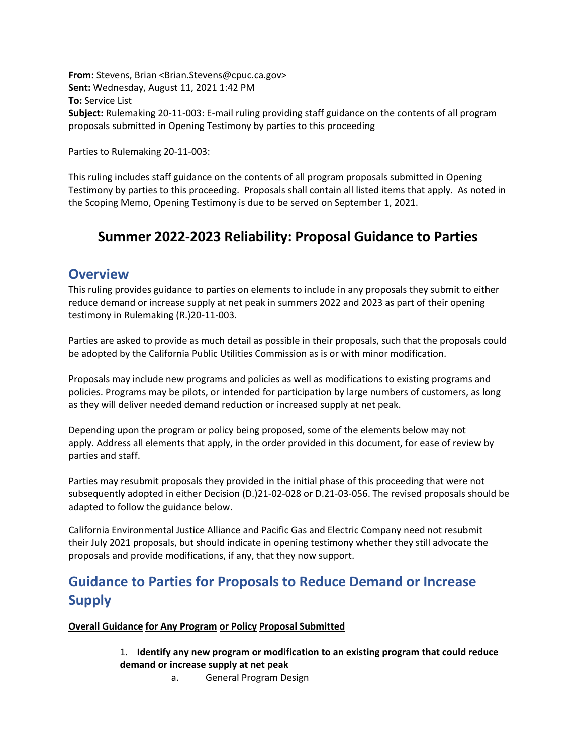**From:** Stevens, Brian <Brian.Stevens@cpuc.ca.gov> **Sent:** Wednesday, August 11, 2021 1:42 PM **To:** Service List **Subject:** Rulemaking 20‐11‐003: E‐mail ruling providing staff guidance on the contents of all program proposals submitted in Opening Testimony by parties to this proceeding

Parties to Rulemaking 20‐11‐003:

This ruling includes staff guidance on the contents of all program proposals submitted in Opening Testimony by parties to this proceeding. Proposals shall contain all listed items that apply. As noted in the Scoping Memo, Opening Testimony is due to be served on September 1, 2021.

## **Summer 2022‐2023 Reliability: Proposal Guidance to Parties**

### **Overview**

This ruling provides guidance to parties on elements to include in any proposals they submit to either reduce demand or increase supply at net peak in summers 2022 and 2023 as part of their opening testimony in Rulemaking (R.)20‐11‐003.

Parties are asked to provide as much detail as possible in their proposals, such that the proposals could be adopted by the California Public Utilities Commission as is or with minor modification.

Proposals may include new programs and policies as well as modifications to existing programs and policies. Programs may be pilots, or intended for participation by large numbers of customers, as long as they will deliver needed demand reduction or increased supply at net peak.

Depending upon the program or policy being proposed, some of the elements below may not apply. Address all elements that apply, in the order provided in this document, for ease of review by parties and staff.

Parties may resubmit proposals they provided in the initial phase of this proceeding that were not subsequently adopted in either Decision (D.)21‐02‐028 or D.21‐03‐056. The revised proposals should be adapted to follow the guidance below.

California Environmental Justice Alliance and Pacific Gas and Electric Company need not resubmit their July 2021 proposals, but should indicate in opening testimony whether they still advocate the proposals and provide modifications, if any, that they now support.

# **Guidance to Parties for Proposals to Reduce Demand or Increase Supply**

#### **Overall Guidance for Any Program or Policy Proposal Submitted**

#### 1. **Identify any new program or modification to an existing program that could reduce demand or increase supply at net peak**

a. General Program Design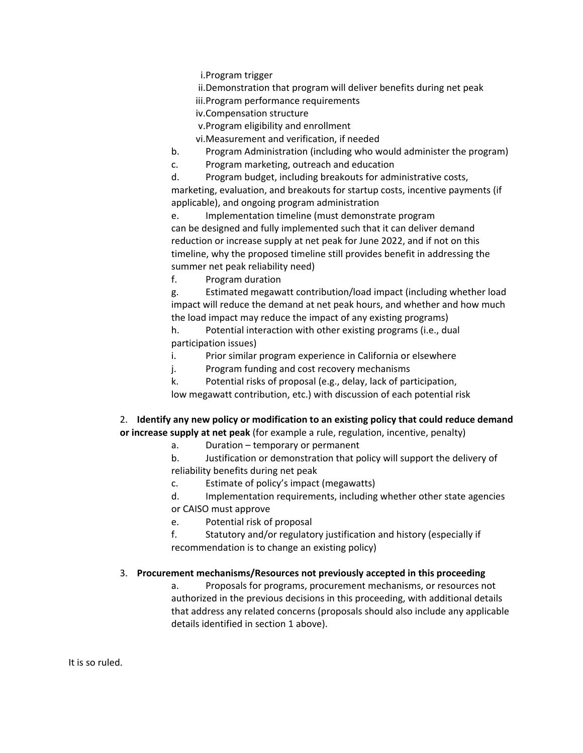i.Program trigger

ii.Demonstration that program will deliver benefits during net peak

iii.Program performance requirements

iv.Compensation structure

v.Program eligibility and enrollment

vi.Measurement and verification, if needed

b. Program Administration (including who would administer the program)

c. Program marketing, outreach and education

d. Program budget, including breakouts for administrative costs, marketing, evaluation, and breakouts for startup costs, incentive payments (if applicable), and ongoing program administration

e. Implementation timeline (must demonstrate program can be designed and fully implemented such that it can deliver demand reduction or increase supply at net peak for June 2022, and if not on this timeline, why the proposed timeline still provides benefit in addressing the summer net peak reliability need)

f. Program duration

g. Estimated megawatt contribution/load impact (including whether load impact will reduce the demand at net peak hours, and whether and how much the load impact may reduce the impact of any existing programs)

h. Potential interaction with other existing programs (i.e., dual participation issues)

i. Prior similar program experience in California or elsewhere

j. Program funding and cost recovery mechanisms

k. Potential risks of proposal (e.g., delay, lack of participation,

low megawatt contribution, etc.) with discussion of each potential risk

2. **Identify any new policy or modification to an existing policy that could reduce demand or increase supply at net peak** (for example a rule, regulation, incentive, penalty)

a. Duration – temporary or permanent

b. Justification or demonstration that policy will support the delivery of reliability benefits during net peak

c. Estimate of policy's impact (megawatts)

d. Implementation requirements, including whether other state agencies or CAISO must approve

e. Potential risk of proposal

f. Statutory and/or regulatory justification and history (especially if recommendation is to change an existing policy)

#### 3. **Procurement mechanisms/Resources not previously accepted in this proceeding**

a. Proposals for programs, procurement mechanisms, or resources not authorized in the previous decisions in this proceeding, with additional details that address any related concerns (proposals should also include any applicable details identified in section 1 above).

It is so ruled.